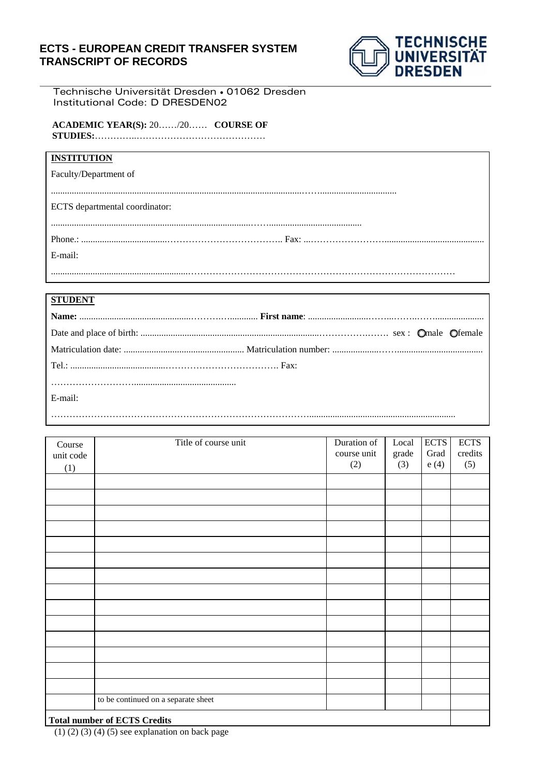## **ECTS - EUROPEAN CREDIT TRANSFER SYSTEM TRANSCRIPT OF RECORDS**



Technische Universität Dresden • 01062 Dresden Institutional Code: D DRESDEN02

**ACADEMIC YEAR(S):** 20……/20…… **COURSE OF STUDIES:**…………..……………………………………

| <b>INSTITUTION</b>             |  |
|--------------------------------|--|
| Faculty/Department of          |  |
|                                |  |
| ECTS departmental coordinator: |  |
|                                |  |
|                                |  |
| E-mail:                        |  |
|                                |  |

## **STUDENT**

| E-mail: |  |
|---------|--|
|         |  |
|         |  |

| Course    | Title of course unit                | Duration of<br>course unit | Local        | <b>ECTS</b><br>Grad | <b>ECTS</b><br>credits |
|-----------|-------------------------------------|----------------------------|--------------|---------------------|------------------------|
| unit code |                                     | (2)                        | grade<br>(3) | e(4)                | (5)                    |
| (1)       |                                     |                            |              |                     |                        |
|           |                                     |                            |              |                     |                        |
|           |                                     |                            |              |                     |                        |
|           |                                     |                            |              |                     |                        |
|           |                                     |                            |              |                     |                        |
|           |                                     |                            |              |                     |                        |
|           |                                     |                            |              |                     |                        |
|           |                                     |                            |              |                     |                        |
|           |                                     |                            |              |                     |                        |
|           |                                     |                            |              |                     |                        |
|           |                                     |                            |              |                     |                        |
|           |                                     |                            |              |                     |                        |
|           |                                     |                            |              |                     |                        |
|           |                                     |                            |              |                     |                        |
|           |                                     |                            |              |                     |                        |
|           | to be continued on a separate sheet |                            |              |                     |                        |
|           | <b>Total number of ECTS Credits</b> |                            |              |                     |                        |

(1) (2) (3) (4) (5) see explanation on back page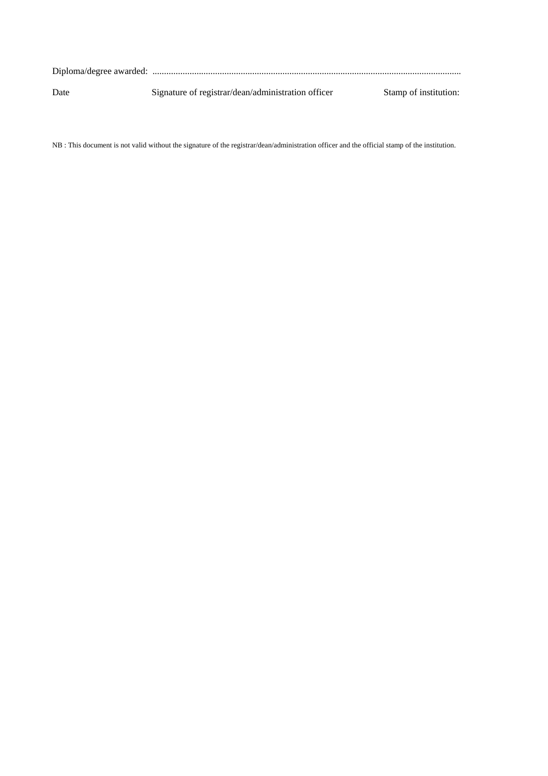| Date | Signature of registrar/dean/administration officer | Stamp of institution: |
|------|----------------------------------------------------|-----------------------|

NB : This document is not valid without the signature of the registrar/dean/administration officer and the official stamp of the institution.